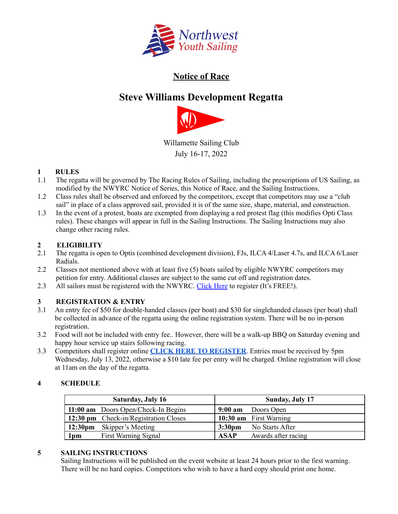

## **Notice of Race**

## **Steve Williams Development Regatta**



Willamette Sailing Club July 16-17, 2022

### **1 RULES**

- 1.1 The regatta will be governed by The Racing Rules of Sailing, including the prescriptions of US Sailing, as modified by the NWYRC Notice of Series, this Notice of Race, and the Sailing Instructions.
- 1.2 Class rules shall be observed and enforced by the competitors, except that competitors may use a "club sail" in place of a class approved sail, provided it is of the same size, shape, material, and construction.
- 1.3 In the event of a protest, boats are exempted from displaying a red protest flag (this modifies Opti Class rules). These changes will appear in full in the Sailing Instructions. The Sailing Instructions may also change other racing rules.

### **2 ELIGIBILITY**

- 2.1 The regatta is open to Optis (combined development division), FJs, ILCA 4/Laser 4.7s, and ILCA 6/Laser Radials.
- 2.2 Classes not mentioned above with at least five (5) boats sailed by eligible NWYRC competitors may petition for entry. Additional classes are subject to the same cut off and registration dates.
- 2.3 All sailors must be registered with the NWYRC. [Click](http://www.nwyouthsailing.org/nwyrc-membership-form.html) Here to register (It's FREE!).

#### **3 REGISTRATION & ENTRY**

- 3.1 An entry fee of \$50 for double-handed classes (per boat) and \$30 for singlehanded classes (per boat) shall be collected in advance of the regatta using the online registration system. There will be no in-person registration.
- 3.2 Food will not be included with entry fee.. However, there will be a walk-up BBQ on Saturday evening and happy hour service up stairs following racing.
- 3.3 Competitors shall register online **CLICK HERE TO [REGISTER](https://theclubspot.com/regatta/bL9YlaUPwg)**. Entries must be received by 5pm Wednesday, July 13, 2022, otherwise a \$10 late fee per entry will be charged. Online registration will close at 11am on the day of the regatta.

#### **4 SCHEDULE**

| <b>Saturday, July 16</b> |                                             | Sunday, July 17    |                                |
|--------------------------|---------------------------------------------|--------------------|--------------------------------|
|                          | $\vert$ 11:00 am Doors Open/Check-In Begins | $9:00 \text{ am}$  | Doors Open                     |
|                          | 12:30 pm Check-in/Registration Closes       |                    | $\vert$ 10:30 am First Warning |
| 12:30pm                  | Skipper's Meeting                           | 3:30 <sub>pm</sub> | No Starts After                |
| 1pm                      | <b>First Warning Signal</b>                 | <b>ASAP</b>        | Awards after racing            |

#### **5 SAILING INSTRUCTIONS**

Sailing Instructions will be published on the event website at least 24 hours prior to the first warning. There will be no hard copies. Competitors who wish to have a hard copy should print one home.